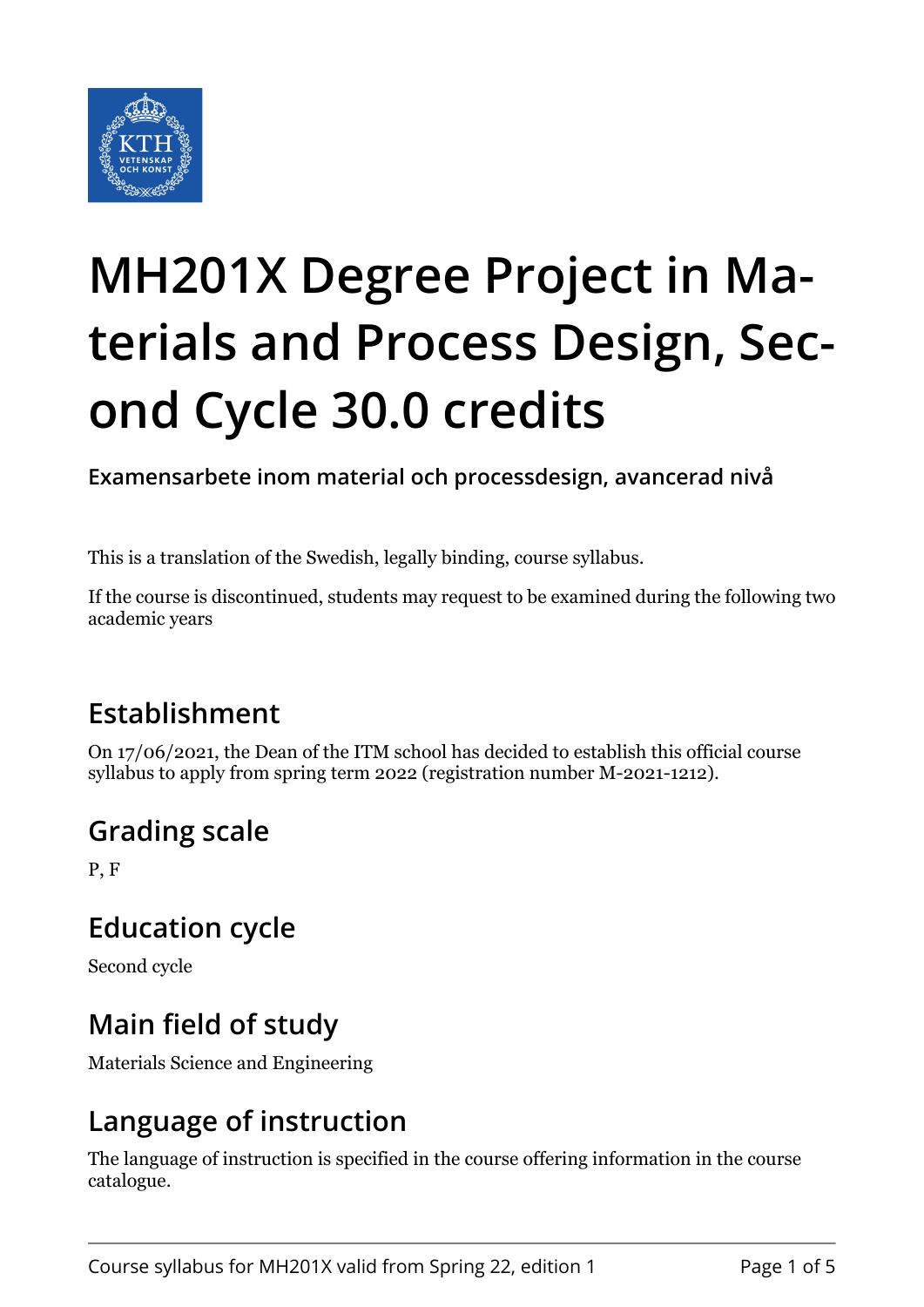

# **MH201X Degree Project in Materials and Process Design, Second Cycle 30.0 credits**

**Examensarbete inom material och processdesign, avancerad nivå**

This is a translation of the Swedish, legally binding, course syllabus.

If the course is discontinued, students may request to be examined during the following two academic years

## **Establishment**

On 17/06/2021, the Dean of the ITM school has decided to establish this official course syllabus to apply from spring term 2022 (registration number M-2021-1212).

#### **Grading scale**

P, F

#### **Education cycle**

Second cycle

#### **Main field of study**

Materials Science and Engineering

## **Language of instruction**

The language of instruction is specified in the course offering information in the course catalogue.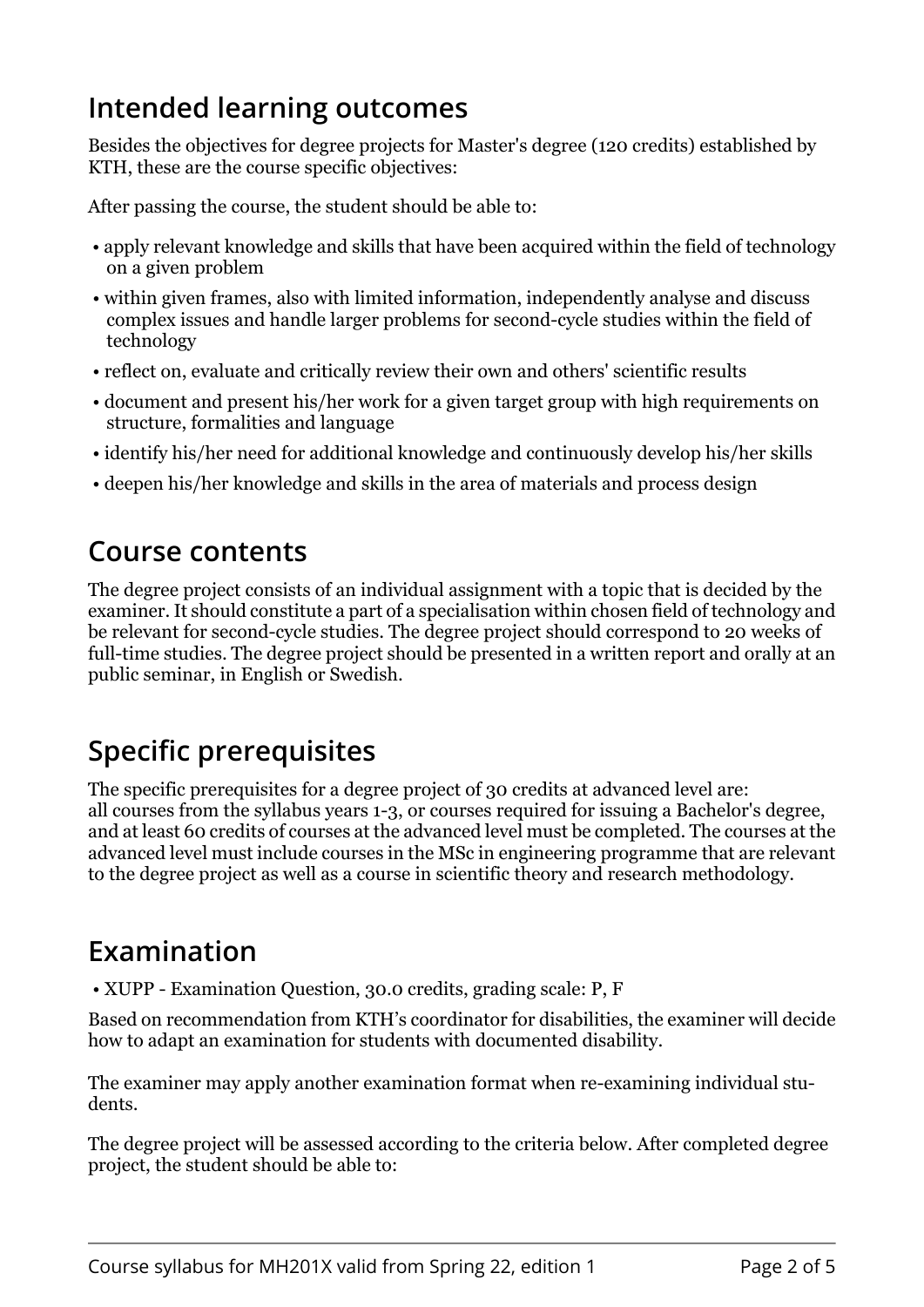## **Intended learning outcomes**

Besides the objectives for degree projects for Master's degree (120 credits) established by KTH, these are the course specific objectives:

After passing the course, the student should be able to:

- apply relevant knowledge and skills that have been acquired within the field of technology on a given problem
- within given frames, also with limited information, independently analyse and discuss complex issues and handle larger problems for second-cycle studies within the field of technology
- reflect on, evaluate and critically review their own and others' scientific results
- document and present his/her work for a given target group with high requirements on structure, formalities and language
- identify his/her need for additional knowledge and continuously develop his/her skills
- deepen his/her knowledge and skills in the area of materials and process design

#### **Course contents**

The degree project consists of an individual assignment with a topic that is decided by the examiner. It should constitute a part of a specialisation within chosen field of technology and be relevant for second-cycle studies. The degree project should correspond to 20 weeks of full-time studies. The degree project should be presented in a written report and orally at an public seminar, in English or Swedish.

## **Specific prerequisites**

The specific prerequisites for a degree project of 30 credits at advanced level are: all courses from the syllabus years 1-3, or courses required for issuing a Bachelor's degree, and at least 60 credits of courses at the advanced level must be completed. The courses at the advanced level must include courses in the MSc in engineering programme that are relevant to the degree project as well as a course in scientific theory and research methodology.

## **Examination**

• XUPP - Examination Question, 30.0 credits, grading scale: P, F

Based on recommendation from KTH's coordinator for disabilities, the examiner will decide how to adapt an examination for students with documented disability.

The examiner may apply another examination format when re-examining individual students.

The degree project will be assessed according to the criteria below. After completed degree project, the student should be able to: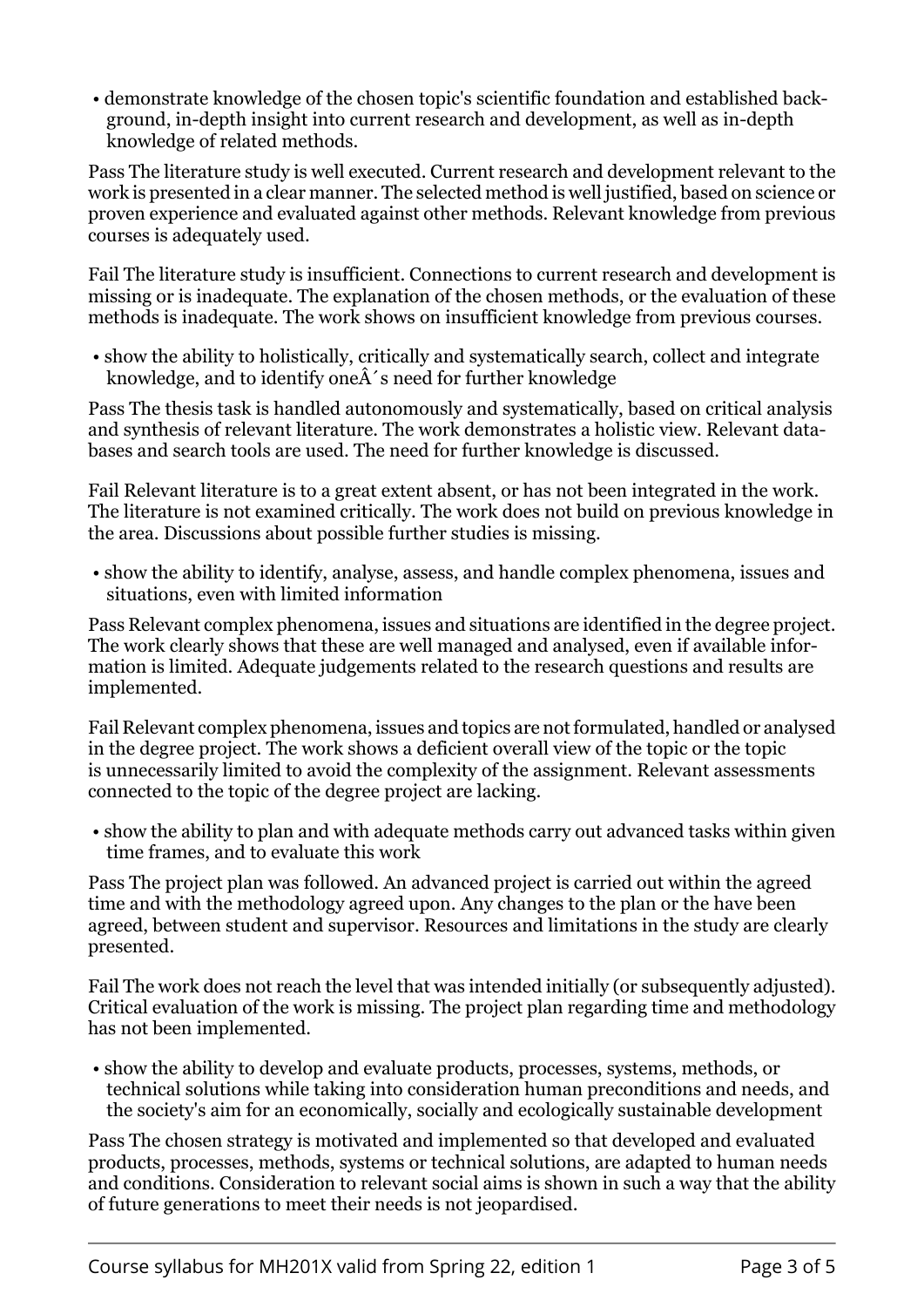• demonstrate knowledge of the chosen topic's scientific foundation and established background, in-depth insight into current research and development, as well as in-depth knowledge of related methods.

Pass The literature study is well executed. Current research and development relevant to the work is presented in a clear manner. The selected method is well justified, based on science or proven experience and evaluated against other methods. Relevant knowledge from previous courses is adequately used.

Fail The literature study is insufficient. Connections to current research and development is missing or is inadequate. The explanation of the chosen methods, or the evaluation of these methods is inadequate. The work shows on insufficient knowledge from previous courses.

 • show the ability to holistically, critically and systematically search, collect and integrate knowledge, and to identify one $\hat{A}$ 's need for further knowledge

Pass The thesis task is handled autonomously and systematically, based on critical analysis and synthesis of relevant literature. The work demonstrates a holistic view. Relevant databases and search tools are used. The need for further knowledge is discussed.

Fail Relevant literature is to a great extent absent, or has not been integrated in the work. The literature is not examined critically. The work does not build on previous knowledge in the area. Discussions about possible further studies is missing.

 • show the ability to identify, analyse, assess, and handle complex phenomena, issues and situations, even with limited information

Pass Relevant complex phenomena, issues and situations are identified in the degree project. The work clearly shows that these are well managed and analysed, even if available information is limited. Adequate judgements related to the research questions and results are implemented.

Fail Relevant complex phenomena, issues and topics are not formulated, handled or analysed in the degree project. The work shows a deficient overall view of the topic or the topic is unnecessarily limited to avoid the complexity of the assignment. Relevant assessments connected to the topic of the degree project are lacking.

 • show the ability to plan and with adequate methods carry out advanced tasks within given time frames, and to evaluate this work

Pass The project plan was followed. An advanced project is carried out within the agreed time and with the methodology agreed upon. Any changes to the plan or the have been agreed, between student and supervisor. Resources and limitations in the study are clearly presented.

Fail The work does not reach the level that was intended initially (or subsequently adjusted). Critical evaluation of the work is missing. The project plan regarding time and methodology has not been implemented.

 • show the ability to develop and evaluate products, processes, systems, methods, or technical solutions while taking into consideration human preconditions and needs, and the society's aim for an economically, socially and ecologically sustainable development

Pass The chosen strategy is motivated and implemented so that developed and evaluated products, processes, methods, systems or technical solutions, are adapted to human needs and conditions. Consideration to relevant social aims is shown in such a way that the ability of future generations to meet their needs is not jeopardised.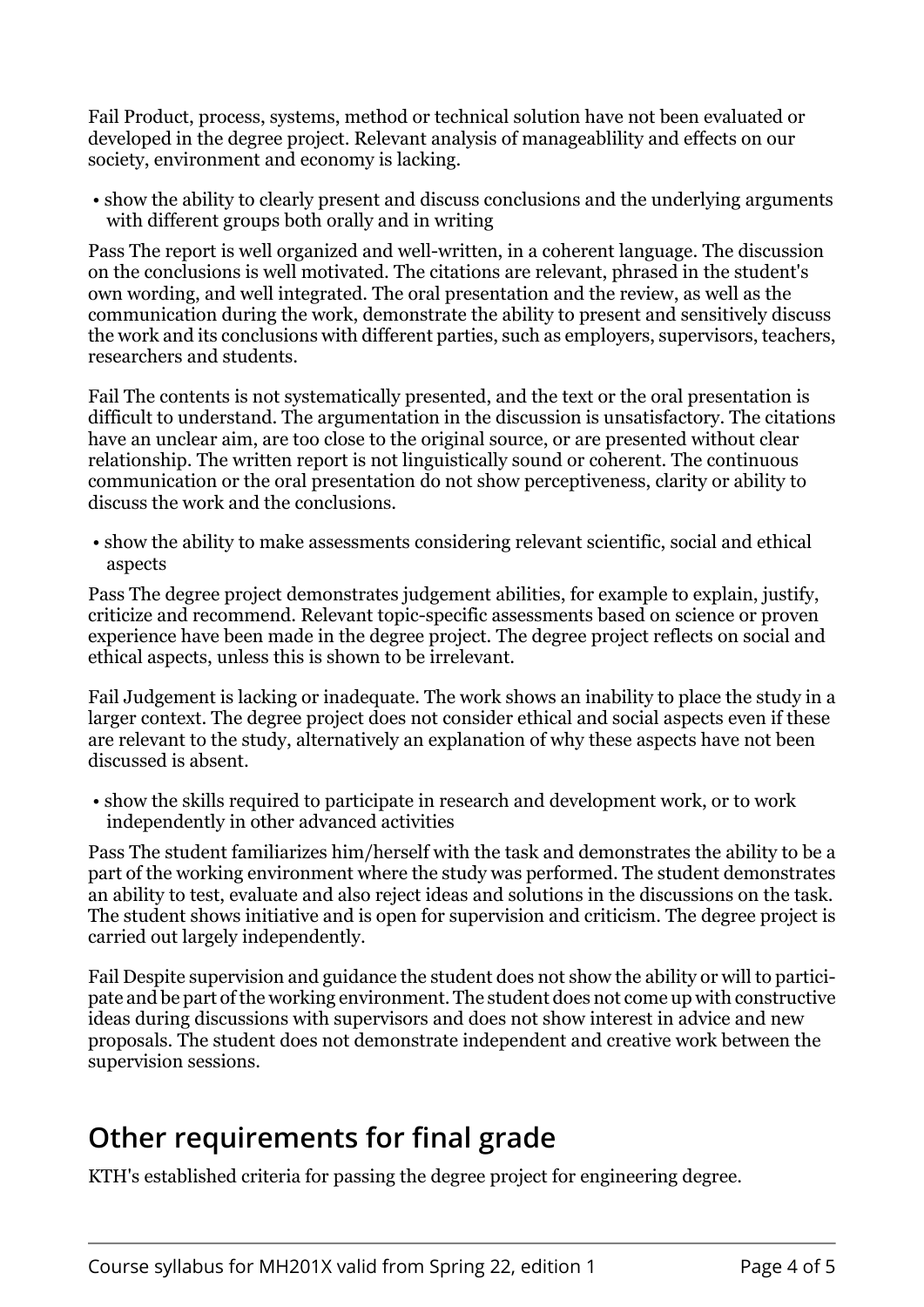Fail Product, process, systems, method or technical solution have not been evaluated or developed in the degree project. Relevant analysis of manageablility and effects on our society, environment and economy is lacking.

 • show the ability to clearly present and discuss conclusions and the underlying arguments with different groups both orally and in writing

Pass The report is well organized and well-written, in a coherent language. The discussion on the conclusions is well motivated. The citations are relevant, phrased in the student's own wording, and well integrated. The oral presentation and the review, as well as the communication during the work, demonstrate the ability to present and sensitively discuss the work and its conclusions with different parties, such as employers, supervisors, teachers, researchers and students.

Fail The contents is not systematically presented, and the text or the oral presentation is difficult to understand. The argumentation in the discussion is unsatisfactory. The citations have an unclear aim, are too close to the original source, or are presented without clear relationship. The written report is not linguistically sound or coherent. The continuous communication or the oral presentation do not show perceptiveness, clarity or ability to discuss the work and the conclusions.

 • show the ability to make assessments considering relevant scientific, social and ethical aspects

Pass The degree project demonstrates judgement abilities, for example to explain, justify, criticize and recommend. Relevant topic-specific assessments based on science or proven experience have been made in the degree project. The degree project reflects on social and ethical aspects, unless this is shown to be irrelevant.

Fail Judgement is lacking or inadequate. The work shows an inability to place the study in a larger context. The degree project does not consider ethical and social aspects even if these are relevant to the study, alternatively an explanation of why these aspects have not been discussed is absent.

 • show the skills required to participate in research and development work, or to work independently in other advanced activities

Pass The student familiarizes him/herself with the task and demonstrates the ability to be a part of the working environment where the study was performed. The student demonstrates an ability to test, evaluate and also reject ideas and solutions in the discussions on the task. The student shows initiative and is open for supervision and criticism. The degree project is carried out largely independently.

Fail Despite supervision and guidance the student does not show the ability or will to participate and be part of the working environment. The student does not come up with constructive ideas during discussions with supervisors and does not show interest in advice and new proposals. The student does not demonstrate independent and creative work between the supervision sessions.

## **Other requirements for final grade**

KTH's established criteria for passing the degree project for engineering degree.